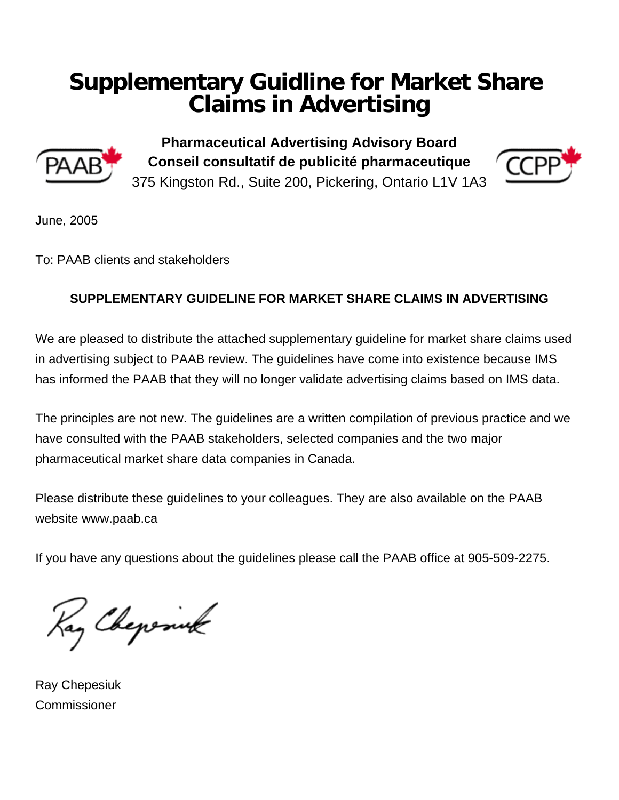## **Supplementary Guidline for Market Share Claims in Advertising**



**Pharmaceutical Advertising Advisory Board Conseil consultatif de publicité pharmaceutique**  375 Kingston Rd., Suite 200, Pickering, Ontario L1V 1A3



June, 2005

To: PAAB clients and stakeholders

## **SUPPLEMENTARY GUIDELINE FOR MARKET SHARE CLAIMS IN ADVERTISING**

We are pleased to distribute the attached supplementary guideline for market share claims used in advertising subject to PAAB review. The guidelines have come into existence because IMS has informed the PAAB that they will no longer validate advertising claims based on IMS data.

The principles are not new. The guidelines are a written compilation of previous practice and we have consulted with the PAAB stakeholders, selected companies and the two major pharmaceutical market share data companies in Canada.

Please distribute these guidelines to your colleagues. They are also available on the PAAB website www.paab.ca

If you have any questions about the guidelines please call the PAAB office at 905-509-2275.

Kay Chepenuk

Ray Chepesiuk **Commissioner**